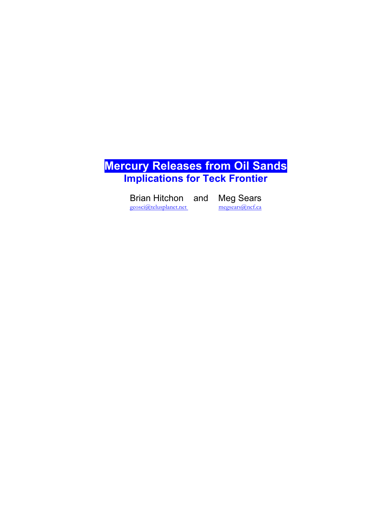

Brian Hitchon and Meg Sears<br>
<u>geosci@telusplanet.net</u><br>
megsears@ncf.ca geosci@telusplanet.net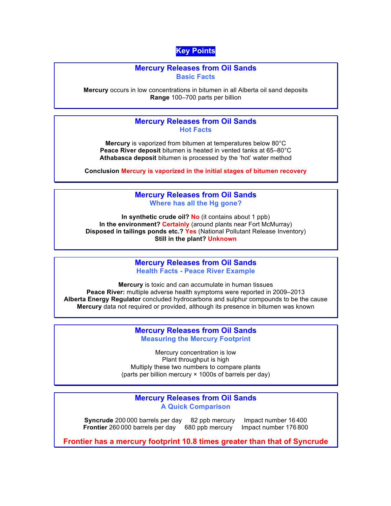# **Key Points**

### **Mercury Releases from Oil Sands Basic Facts**

**Mercury** occurs in low concentrations in bitumen in all Alberta oil sand deposits **Range** 100–700 parts per billion

## **Mercury Releases from Oil Sands Hot Facts**

**Mercury** is vaporized from bitumen at temperatures below 80°C **Peace River deposit** bitumen is heated in vented tanks at 65–80°C **Athabasca deposit** bitumen is processed by the 'hot' water method

**Conclusion Mercury is vaporized in the initial stages of bitumen recovery**

## **Mercury Releases from Oil Sands Where has all the Hg gone?**

**In synthetic crude oil? No** (it contains about 1 ppb) **In the environment? Certainly** (around plants near Fort McMurray) **Disposed in tailings ponds etc.? Yes** (National Pollutant Release Inventory) **Still in the plant? Unknown**

## **Mercury Releases from Oil Sands Health Facts - Peace River Example**

**Mercury** is toxic and can accumulate in human tissues **Peace River:** multiple adverse health symptoms were reported in 2009–2013 **Alberta Energy Regulator** concluded hydrocarbons and sulphur compounds to be the cause **Mercury** data not required or provided, although its presence in bitumen was known

## **Mercury Releases from Oil Sands Measuring the Mercury Footprint**

Mercury concentration is low Plant throughput is high Multiply these two numbers to compare plants (parts per billion mercury × 1000s of barrels per day)

## **Mercury Releases from Oil Sands A Quick Comparison**

**Syncrude** 200 000 barrels per day 82 ppb mercury Impact number 16 400 **Frontier** 260 000 barrels per day 680 ppb mercury Impact number 176 800

**Frontier has a mercury footprint 10.8 times greater than that of Syncrude**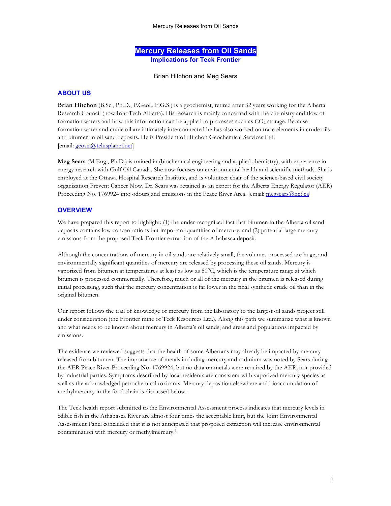## **Mercury Releases from Oil Sands Implications for Teck Frontier**

#### Brian Hitchon and Meg Sears

### **ABOUT US**

**Brian Hitchon** (B.Sc., Ph.D., P.Geol., F.G.S.) is a geochemist, retired after 32 years working for the Alberta Research Council (now InnoTech Alberta). His research is mainly concerned with the chemistry and flow of formation waters and how this information can be applied to processes such as  $CO<sub>2</sub>$  storage. Because formation water and crude oil are intimately interconnected he has also worked on trace elements in crude oils and bitumen in oil sand deposits. He is President of Hitchon Geochemical Services Ltd. [email: geosci@telusplanet.net]

**Meg Sears** (M.Eng., Ph.D.) is trained in (biochemical engineering and applied chemistry), with experience in energy research with Gulf Oil Canada. She now focuses on environmental health and scientific methods. She is employed at the Ottawa Hospital Research Institute, and is volunteer chair of the science-based civil society organization Prevent Cancer Now. Dr. Sears was retained as an expert for the Alberta Energy Regulator (AER) Proceeding No. 1769924 into odours and emissions in the Peace River Area. [email: megsears@ncf.ca]

#### **OVERVIEW**

We have prepared this report to highlight: (1) the under-recognized fact that bitumen in the Alberta oil sand deposits contains low concentrations but important quantities of mercury; and (2) potential large mercury emissions from the proposed Teck Frontier extraction of the Athabasca deposit.

Although the concentrations of mercury in oil sands are relatively small, the volumes processed are huge, and environmentally significant quantities of mercury are released by processing these oil sands. Mercury is vaporized from bitumen at temperatures at least as low as 80°C, which is the temperature range at which bitumen is processed commercially. Therefore, much or all of the mercury in the bitumen is released during initial processing, such that the mercury concentration is far lower in the final synthetic crude oil than in the original bitumen.

Our report follows the trail of knowledge of mercury from the laboratory to the largest oil sands project still under consideration (the Frontier mine of Teck Resources Ltd.). Along this path we summarize what is known and what needs to be known about mercury in Alberta's oil sands, and areas and populations impacted by emissions.

The evidence we reviewed suggests that the health of some Albertans may already be impacted by mercury released from bitumen. The importance of metals including mercury and cadmium was noted by Sears during the AER Peace River Proceeding No. 1769924, but no data on metals were required by the AER, nor provided by industrial parties. Symptoms described by local residents are consistent with vaporized mercury species as well as the acknowledged petrochemical toxicants. Mercury deposition elsewhere and bioaccumulation of methylmercury in the food chain is discussed below.

The Teck health report submitted to the Environmental Assessment process indicates that mercury levels in edible fish in the Athabasca River are almost four times the acceptable limit, but the Joint Environmental Assessment Panel concluded that it is not anticipated that proposed extraction will increase environmental contamination with mercury or methylmercury.1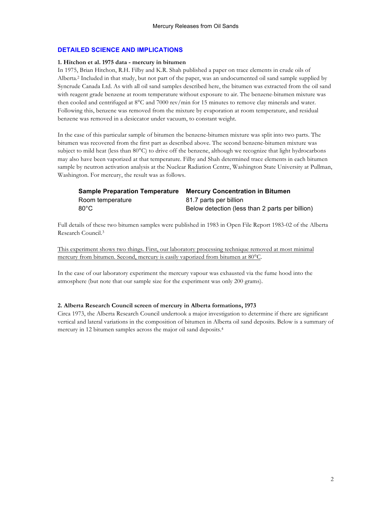### **DETAILED SCIENCE AND IMPLICATIONS**

#### **1. Hitchon et al. 1975 data - mercury in bitumen**

In 1975, Brian Hitchon, R.H. Filby and K.R. Shah published a paper on trace elements in crude oils of Alberta.2 Included in that study, but not part of the paper, was an undocumented oil sand sample supplied by Syncrude Canada Ltd. As with all oil sand samples described here, the bitumen was extracted from the oil sand with reagent grade benzene at room temperature without exposure to air. The benzene-bitumen mixture was then cooled and centrifuged at 8°C and 7000 rev/min for 15 minutes to remove clay minerals and water. Following this, benzene was removed from the mixture by evaporation at room temperature, and residual benzene was removed in a desiccator under vacuum, to constant weight.

In the case of this particular sample of bitumen the benzene-bitumen mixture was split into two parts. The bitumen was recovered from the first part as described above. The second benzene-bitumen mixture was subject to mild heat (less than 80°C) to drive off the benzene, although we recognize that light hydrocarbons may also have been vaporized at that temperature. Filby and Shah determined trace elements in each bitumen sample by neutron activation analysis at the Nuclear Radiation Centre, Washington State University at Pullman, Washington. For mercury, the result was as follows.

| <b>Sample Preparation Temperature</b> | <b>Mercury Concentration in Bitumen</b>         |
|---------------------------------------|-------------------------------------------------|
| Room temperature                      | 81.7 parts per billion                          |
| 80°C                                  | Below detection (less than 2 parts per billion) |

Full details of these two bitumen samples were published in 1983 in Open File Report 1983-02 of the Alberta Research Council.3

This experiment shows two things. First, our laboratory processing technique removed at most minimal mercury from bitumen. Second, mercury is easily vaporized from bitumen at 80°C.

In the case of our laboratory experiment the mercury vapour was exhausted via the fume hood into the atmosphere (but note that our sample size for the experiment was only 200 grams).

#### **2. Alberta Research Council screen of mercury in Alberta formations, 1973**

Circa 1973, the Alberta Research Council undertook a major investigation to determine if there are significant vertical and lateral variations in the composition of bitumen in Alberta oil sand deposits. Below is a summary of mercury in 12 bitumen samples across the major oil sand deposits.4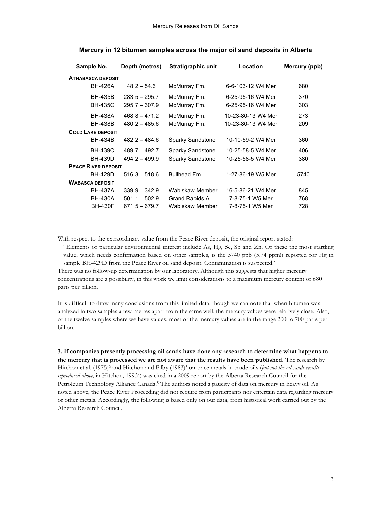| Sample No.                 | Depth (metres)  | Stratigraphic unit | Location           | Mercury (ppb) |
|----------------------------|-----------------|--------------------|--------------------|---------------|
| <b>ATHABASCA DEPOSIT</b>   |                 |                    |                    |               |
| BH-426A                    | $48.2 - 54.6$   | McMurray Fm.       | 6-6-103-12 W4 Mer  | 680           |
| <b>BH-435B</b>             | $283.5 - 295.7$ | McMurray Fm.       | 6-25-95-16 W4 Mer  | 370           |
| <b>BH-435C</b>             | $295.7 - 307.9$ | McMurray Fm.       | 6-25-95-16 W4 Mer  | 303           |
| BH-438A                    | $468.8 - 471.2$ | McMurray Fm.       | 10-23-80-13 W4 Mer | 273           |
| <b>BH-438B</b>             | $480.2 - 485.6$ | McMurray Fm.       | 10-23-80-13 W4 Mer | 209           |
| <b>COLD LAKE DEPOSIT</b>   |                 |                    |                    |               |
| BH-434B                    | $482.2 - 484.6$ | Sparky Sandstone   | 10-10-59-2 W4 Mer  | 360           |
| <b>BH-439C</b>             | $489.7 - 492.7$ | Sparky Sandstone   | 10-25-58-5 W4 Mer  | 406           |
| BH-439D                    | $494.2 - 499.9$ | Sparky Sandstone   | 10-25-58-5 W4 Mer  | 380           |
| <b>PEACE RIVER DEPOSIT</b> |                 |                    |                    |               |
| <b>BH-429D</b>             | $516.3 - 518.6$ | Bullhead Fm.       | 1-27-86-19 W5 Mer  | 5740          |
| <b>WABASCA DEPOSIT</b>     |                 |                    |                    |               |
| <b>BH-437A</b>             | $339.9 - 342.9$ | Wabiskaw Member    | 16-5-86-21 W4 Mer  | 845           |
| BH-430A                    | $501.1 - 502.9$ | Grand Rapids A     | 7-8-75-1 W5 Mer    | 768           |
| <b>BH-430F</b>             | $671.5 - 679.7$ | Wabiskaw Member    | 7-8-75-1 W5 Mer    | 728           |

#### **Mercury in 12 bitumen samples across the major oil sand deposits in Alberta**

With respect to the extraordinary value from the Peace River deposit, the original report stated:

"Elements of particular environmental interest include As, Hg, Se, Sb and Zn. Of these the most startling value, which needs confirmation based on other samples, is the 5740 ppb (5.74 ppm!) reported for Hg in sample BH-429D from the Peace River oil sand deposit. Contamination is suspected."

There was no follow-up determination by our laboratory. Although this suggests that higher mercury concentrations are a possibility, in this work we limit considerations to a maximum mercury content of 680 parts per billion.

It is difficult to draw many conclusions from this limited data, though we can note that when bitumen was analyzed in two samples a few metres apart from the same well, the mercury values were relatively close. Also, of the twelve samples where we have values, most of the mercury values are in the range 200 to 700 parts per billion.

**3. If companies presently processing oil sands have done any research to determine what happens to the mercury that is processed we are not aware that the results have been published.** The research by Hitchon et al. (1975)<sup>2</sup> and Hitchon and Filby (1983)<sup>3</sup> on trace metals in crude oils (*but not the oil sands results reproduced above*, in Hitchon, 19934) was cited in a 2009 report by the Alberta Research Council for the Petroleum Technology Alliance Canada.<sup>5</sup> The authors noted a paucity of data on mercury in heavy oil. As noted above, the Peace River Proceeding did not require from participants nor entertain data regarding mercury or other metals. Accordingly, the following is based only on our data, from historical work carried out by the Alberta Research Council.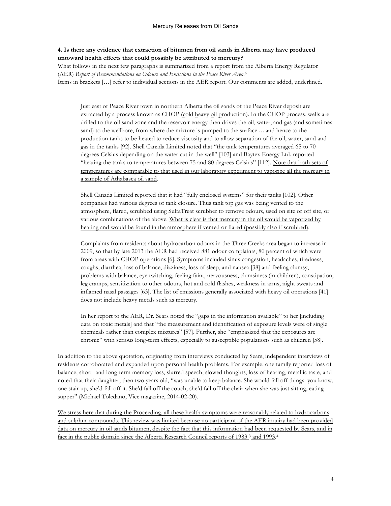## **4. Is there any evidence that extraction of bitumen from oil sands in Alberta may have produced untoward health effects that could possibly be attributed to mercury?**

What follows in the next few paragraphs is summarized from a report from the Alberta Energy Regulator (AER) *Report of Recommendations on Odours and Emissions in the Peace River Area*. 6 Items in brackets […] refer to individual sections in the AER report. Our comments are added, underlined.

Just east of Peace River town in northern Alberta the oil sands of the Peace River deposit are extracted by a process known as CHOP (cold heavy oil production). In the CHOP process, wells are drilled to the oil sand zone and the reservoir energy then drives the oil, water, and gas (and sometimes sand) to the wellbore, from where the mixture is pumped to the surface ... and hence to the production tanks to be heated to reduce viscosity and to allow separation of the oil, water, sand and gas in the tanks [92]. Shell Canada Limited noted that "the tank temperatures averaged 65 to 70 degrees Celsius depending on the water cut in the well" [103] and Baytex Energy Ltd. reported "heating the tanks to temperatures between 75 and 80 degrees Celsius" [112]. Note that both sets of temperatures are comparable to that used in our laboratory experiment to vaporize all the mercury in a sample of Athabasca oil sand.

Shell Canada Limited reported that it had "fully enclosed systems" for their tanks [102]. Other companies had various degrees of tank closure. Thus tank top gas was being vented to the atmosphere, flared, scrubbed using SulfaTreat scrubber to remove odours, used on site or off site, or various combinations of the above. What is clear is that mercury in the oil would be vaporized by heating and would be found in the atmosphere if vented or flared (possibly also if scrubbed).

Complaints from residents about hydrocarbon odours in the Three Creeks area began to increase in 2009, so that by late 2013 the AER had received 881 odour complaints, 80 percent of which were from areas with CHOP operations [6]. Symptoms included sinus congestion, headaches, tiredness, coughs, diarrhea, loss of balance, dizziness, loss of sleep, and nausea [38] and feeling clumsy, problems with balance, eye twitching, feeling faint, nervousness, clumsiness (in children), constipation, leg cramps, sensitization to other odours, hot and cold flashes, weakness in arms, night sweats and inflamed nasal passages [63]. The list of emissions generally associated with heavy oil operations [41] does not include heavy metals such as mercury.

In her report to the AER, Dr. Sears noted the "gaps in the information available" to her [including data on toxic metals] and that "the measurement and identification of exposure levels were of single chemicals rather than complex mixtures" [57]. Further, she "emphasized that the exposures are chronic" with serious long-term effects, especially to susceptible populations such as children [58].

In addition to the above quotation, originating from interviews conducted by Sears, independent interviews of residents corroborated and expanded upon personal health problems. For example, one family reported loss of balance, short- and long-term memory loss, slurred speech, slowed thoughts, loss of hearing, metallic taste, and noted that their daughter, then two years old, "was unable to keep balance. She would fall off things–you know, one stair up, she'd fall off it. She'd fall off the couch, she'd fall off the chair when she was just sitting, eating supper" (Michael Toledano, Vice magazine, 2014-02-20).

We stress here that during the Proceeding, all these health symptoms were reasonably related to hydrocarbons and sulphur compounds. This review was limited because no participant of the AER inquiry had been provided data on mercury in oil sands bitumen, despite the fact that this information had been requested by Sears, and in fact in the public domain since the Alberta Research Council reports of 1983<sup>3</sup> and 1993.<sup>4</sup>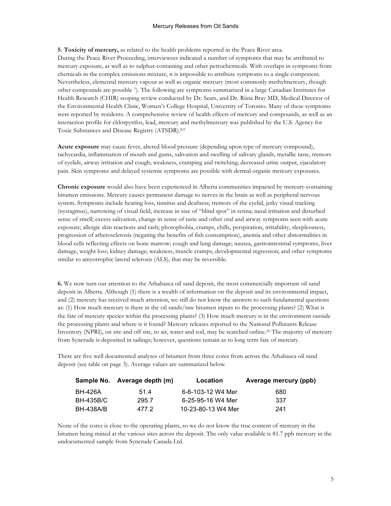#### Mercury Releases from Oil Sands

**5. Toxicity of mercury,** as related to the health problems reported in the Peace River area. During the Peace River Proceeding, interviewees indicated a number of symptoms that may be attributed to mercury exposure, as well as to sulphur-containing and other petrochemicals. With overlaps in symptoms from chemicals in the complex emissions mixture, it is impossible to attribute symptoms to a single component. Nevertheless, elemental mercury vapour as well as organic mercury (most commonly methylmercury, though other compounds are possible 7). The following are symptoms summarized in a large Canadian Institutes for Health Research (CHIR) scoping review conducted by Dr. Sears, and Dr. Riina Bray MD, Medical Director of the Environmental Health Clinic, Women's College Hospital, University of Toronto. Many of these symptoms were reported by residents. A comprehensive review of health effects of mercury and compounds, as well as an interaction profile for chlorpyrifos, lead, mercury and methylmercury was published by the U.S. Agency for Toxic Substances and Disease Registry (ATSDR).8,9

**Acute exposure** may cause fever, altered blood pressure (depending upon type of mercury compound), tachycardia, inflammation of mouth and gums, salivation and swelling of salivary glands, metallic taste, tremors of eyelids, airway irritation and cough; weakness, cramping and twitching; decreased urine output, ejaculatory pain. Skin symptoms and delayed systemic symptoms are possible with dermal organic mercury exposures.

**Chronic exposure** would also have been experienced in Alberta communities impacted by mercury-containing bitumen emissions. Mercury causes permanent damage to nerves in the brain as well as peripheral nervous system. Symptoms include hearing loss, tinnitus and deafness; tremors of the eyelid, jerky visual tracking (nystagmus), narrowing of visual field, increase in size of "blind spot" in retina; nasal irritation and disturbed sense of smell; excess salivation, change in sense of taste and other oral and airway symptoms seen with acute exposure; allergic skin reactions and rash; photophobia, cramps, chills, perspiration, irritability, sleeplessness, progression of atherosclerosis (negating the benefits of fish consumption), anemia and other abnormalities in blood cells reflecting effects on bone marrow; cough and lung damage; nausea, gastrointestinal symptoms, liver damage, weight loss; kidney damage; weakness, muscle cramps, developmental regression; and other symptoms similar to amyotrophic lateral sclerosis (ALS), that may be reversible.

**6.** We now turn our attention to the Athabasca oil sand deposit, the most commercially important oil sand deposit in Alberta. Although (1) there is a wealth of information on the deposit and its environmental impact, and (2) mercury has received much attention, we still do not know the answers to such fundamental questions as: (1) How much mercury is there in the oil sands/raw bitumen inputs to the processing plants? (2) What is the fate of mercury species within the processing plants? (3) How much mercury is in the environment outside the processing plants and where is it found? Mercury releases reported to the National Pollutants Release Inventory (NPRI), on site and off site, to air, water and soil, may be searched online.10 The majority of mercury from Syncrude is deposited in tailings; however, questions remain as to long term fate of mercury.

There are five well documented analyses of bitumen from three cores from across the Athabasca oil sand deposit (see table on page 3). Average values are summarized below.

|           | Sample No. Average depth (m) | Location           | Average mercury (ppb) |
|-----------|------------------------------|--------------------|-----------------------|
| BH-426A   | 51.4                         | 6-6-103-12 W4 Mer  | 680                   |
| BH-435B/C | 295.7                        | 6-25-95-16 W4 Mer  | -337                  |
| BH-438A/B | 477.2                        | 10-23-80-13 W4 Mer | 241                   |

None of the cores is close to the operating plants, so we do not know the true content of mercury in the bitumen being mined at the various sites across the deposit. The only value available is 81.7 ppb mercury in the undocumented sample from Syncrude Canada Ltd.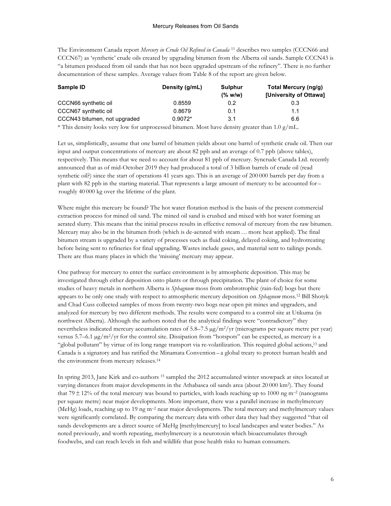The Environment Canada report *Mercury in Crude Oil Refined in Canada* <sup>11</sup> describes two samples (CCCN66 and CCCN67) as 'synthetic' crude oils created by upgrading bitumen from the Alberta oil sands. Sample CCCN43 is "a bitumen produced from oil sands that has not been upgraded upstream of the refinery". There is no further documentation of these samples. Average values from Table 8 of the report are given below.

| Sample ID                                                                                                                                                                                                                           | Density (g/mL) | <b>Sulphur</b> | Total Mercury (ng/g)   |  |
|-------------------------------------------------------------------------------------------------------------------------------------------------------------------------------------------------------------------------------------|----------------|----------------|------------------------|--|
|                                                                                                                                                                                                                                     |                | (% w/w)        | [University of Ottawa] |  |
| CCCN66 synthetic oil                                                                                                                                                                                                                | 0.8559         | 0.2            | 0.3                    |  |
| CCCN67 synthetic oil                                                                                                                                                                                                                | 0.8679         | 0.1            | 1.1                    |  |
| CCCN43 bitumen, not upgraded                                                                                                                                                                                                        | $0.9072*$      | 3.1            | 6.6                    |  |
| $\ldots$ , and $\ldots$ . The set of the set of the set of the set of the set of the set of the set of the set of the set of the set of the set of the set of the set of the set of the set of the set of the set of the set of the |                |                |                        |  |

\* This density looks very low for unprocessed bitumen. Most have density greater than 1.0  $g/mL$ .

Let us, simplistically, assume that one barrel of bitumen yields about one barrel of synthetic crude oil. Then our input and output concentrations of mercury are about 82 ppb and an average of 0.7 ppb (above tables), respectively. This means that we need to account for about 81 ppb of mercury. Syncrude Canada Ltd. recently announced that as of mid-October 2019 they had produced a total of 3 billion barrels of crude oil (read synthetic oil?) since the start of operations 41 years ago. This is an average of 200 000 barrels per day from a plant with 82 ppb in the starting material. That represents a large amount of mercury to be accounted for – roughly 40 000 kg over the lifetime of the plant.

Where might this mercury be found? The hot water flotation method is the basis of the present commercial extraction process for mined oil sand. The mined oil sand is crushed and mixed with hot water forming an aerated slurry. This means that the initial process results in effective removal of mercury from the raw bitumen. Mercury may also be in the bitumen froth (which is de-aerated with steam … more heat applied). The final bitumen stream is upgraded by a variety of processes such as fluid coking, delayed coking, and hydrotreating before being sent to refineries for final upgrading. Wastes include gases, and material sent to tailings ponds. There are thus many places in which the 'missing' mercury may appear.

One pathway for mercury to enter the surface environment is by atmospheric deposition. This may be investigated through either deposition onto plants or through precipitation. The plant of choice for some studies of heavy metals in northern Alberta is *Sphagnum* moss from ombrotrophic (rain-fed) bogs but there appears to be only one study with respect to atmospheric mercury deposition on *Sphagnum* moss. <sup>12</sup> Bill Shotyk and Chad Cuss collected samples of moss from twenty-two bogs near open pit mines and upgraders, and analyzed for mercury by two different methods. The results were compared to a control site at Utikuma (in northwest Alberta). Although the authors noted that the analytical findings were "contradictory" they nevertheless indicated mercury accumulation rates of  $5.8-7.5 \mu g/m^2yr$  (micrograms per square metre per year) versus 5.7–6.1  $\mu$ g/m<sup>2</sup>/yr for the control site. Dissipation from "hotspots" can be expected, as mercury is a "global pollutant" by virtue of its long range transport via re-volatilization. This required global actions, <sup>13</sup> and Canada is a signatory and has ratified the Minamata Convention – a global treaty to protect human health and the environment from mercury releases.14

In spring 2013, Jane Kirk and co-authors <sup>15</sup> sampled the 2012 accumulated winter snowpack at sites located at varying distances from major developments in the Athabasca oil sands area (about 20 000 km2). They found that 79 $\pm$ 12% of the total mercury was bound to particles, with loads reaching up to 1000 ng m<sup>-2</sup> (nanograms per square metre) near major developments. More important, there was a parallel increase in methylmercury (MeHg) loads, reaching up to 19 ng m–2 near major developments. The total mercury and methylmercury values were significantly correlated. By comparing the mercury data with other data they had they suggested "that oil sands developments are a direct source of MeHg [methylmercury] to local landscapes and water bodies." As noted previously, and worth repeating, methylmercury is a neurotoxin which bioaccumulates through foodwebs, and can reach levels in fish and wildlife that pose health risks to human consumers.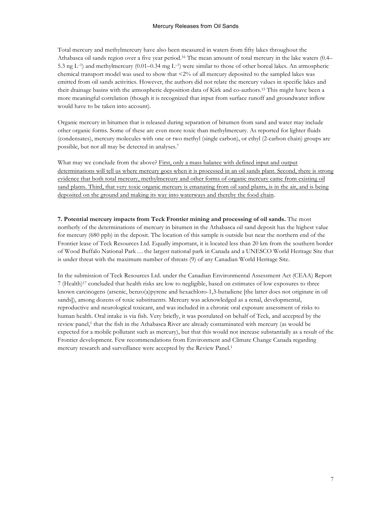Total mercury and methylmercury have also been measured in waters from fifty lakes throughout the Athabasca oil sands region over a five year period. <sup>16</sup> The mean amount of total mercury in the lake waters (0.4– 5.3 ng L–1) and methylmercury (0.01–0.34 mg L–1) were similar to those of other boreal lakes. An atmospheric chemical transport model was used to show that <2% of all mercury deposited to the sampled lakes was emitted from oil sands activities. However, the authors did not relate the mercury values in specific lakes and their drainage basins with the atmospheric deposition data of Kirk and co-authors.15 This might have been a more meaningful correlation (though it is recognized that input from surface runoff and groundwater inflow would have to be taken into account).

Organic mercury in bitumen that is released during separation of bitumen from sand and water may include other organic forms. Some of these are even more toxic than methylmercury. As reported for lighter fluids (condensates), mercury molecules with one or two methyl (single carbon), or ethyl (2-carbon chain) groups are possible, but not all may be detected in analyses.7

What may we conclude from the above? First, only a mass balance with defined input and output determinations will tell us where mercury goes when it is processed in an oil sands plant. Second, there is strong evidence that both total mercury, methylmercury and other forms of organic mercury came from existing oil sand plants. Third, that very toxic organic mercury is emanating from oil sand plants, is in the air, and is being deposited on the ground and making its way into waterways and thereby the food chain.

**7. Potential mercury impacts from Teck Frontier mining and processing of oil sands.** The most northerly of the determinations of mercury in bitumen in the Athabasca oil sand deposit has the highest value for mercury (680 ppb) in the deposit. The location of this sample is outside but near the northern end of the Frontier lease of Teck Resources Ltd. Equally important, it is located less than 20 km from the southern border of Wood Buffalo National Park… the largest national park in Canada and a UNESCO World Heritage Site that is under threat with the maximum number of threats (9) of any Canadian World Heritage Site.

In the submission of Teck Resources Ltd. under the Canadian Environmental Assessment Act (CEAA) Report 7 (Health)17 concluded that health risks are low to negligible, based on estimates of low exposures to three known carcinogens (arsenic, benzo(a)pyrene and hexachloro-1,3-butadiene [the latter does not originate in oil sands]), among dozens of toxic substituents. Mercury was acknowledged as a renal, developmental, reproductive and neurological toxicant, and was included in a chronic oral exposure assessment of risks to human health. Oral intake is via fish. Very briefly, it was postulated on behalf of Teck, and accepted by the review panel,<sup>1</sup> that the fish in the Athabasca River are already contaminated with mercury (as would be expected for a mobile pollutant such as mercury), but that this would not increase substantially as a result of the Frontier development. Few recommendations from Environment and Climate Change Canada regarding mercury research and surveillance were accepted by the Review Panel.1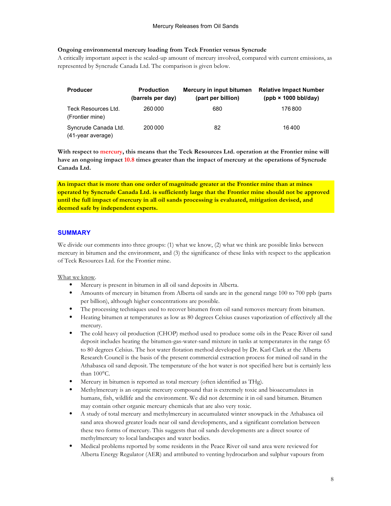### **Ongoing environmental mercury loading from Teck Frontier versus Syncrude**

A critically important aspect is the scaled-up amount of mercury involved, compared with current emissions, as represented by Syncrude Canada Ltd. The comparison is given below.

| <b>Producer</b>                           | <b>Production</b><br>(barrels per day) | Mercury in input bitumen<br>(part per billion) | <b>Relative Impact Number</b><br>$(ppb \times 1000 \, \text{bb}/\text{day})$ |
|-------------------------------------------|----------------------------------------|------------------------------------------------|------------------------------------------------------------------------------|
| Teck Resources Ltd.<br>(Frontier mine)    | 260 000                                | 680                                            | 176800                                                                       |
| Syncrude Canada Ltd.<br>(41-year average) | 200 000                                | 82                                             | 16400                                                                        |

With respect to mercury, this means that the Teck Resources Ltd. operation at the Frontier mine will **have an ongoing impact 10.8 times greater than the impact of mercury at the operations of Syncrude Canada Ltd.**

**An impact that is more than one order of magnitude greater at the Frontier mine than at mines operated by Syncrude Canada Ltd. is sufficiently large that the Frontier mine should not be approved until the full impact of mercury in all oil sands processing is evaluated, mitigation devised, and deemed safe by independent experts.**

## **SUMMARY**

We divide our comments into three groups: (1) what we know, (2) what we think are possible links between mercury in bitumen and the environment, and (3) the significance of these links with respect to the application of Teck Resources Ltd. for the Frontier mine.

What we know.

- Mercury is present in bitumen in all oil sand deposits in Alberta.
- Amounts of mercury in bitumen from Alberta oil sands are in the general range 100 to 700 ppb (parts per billion), although higher concentrations are possible.
- The processing techniques used to recover bitumen from oil sand removes mercury from bitumen.
- Heating bitumen at temperatures as low as 80 degrees Celsius causes vaporization of effectively all the mercury.
- The cold heavy oil production (CHOP) method used to produce some oils in the Peace River oil sand deposit includes heating the bitumen-gas-water-sand mixture in tanks at temperatures in the range 65 to 80 degrees Celsius. The hot water flotation method developed by Dr. Karl Clark at the Alberta Research Council is the basis of the present commercial extraction process for mined oil sand in the Athabasca oil sand deposit. The temperature of the hot water is not specified here but is certainly less than 100°C.
- Mercury in bitumen is reported as total mercury (often identified as THg).
- Methylmercury is an organic mercury compound that is extremely toxic and bioaccumulates in humans, fish, wildlife and the environment. We did not determine it in oil sand bitumen. Bitumen may contain other organic mercury chemicals that are also very toxic.
- A study of total mercury and methylmercury in accumulated winter snowpack in the Athabasca oil sand area showed greater loads near oil sand developments, and a significant correlation between these two forms of mercury. This suggests that oil sands developments are a direct source of methylmercury to local landscapes and water bodies.
- Medical problems reported by some residents in the Peace River oil sand area were reviewed for Alberta Energy Regulator (AER) and attributed to venting hydrocarbon and sulphur vapours from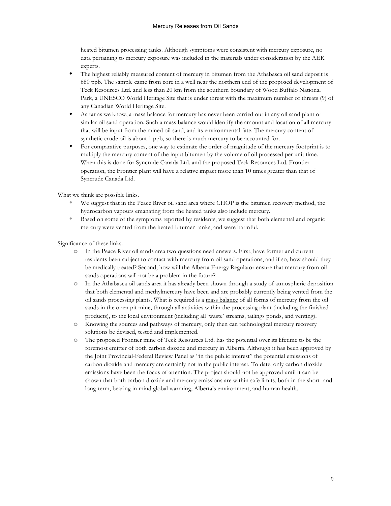heated bitumen processing tanks. Although symptoms were consistent with mercury exposure, no data pertaining to mercury exposure was included in the materials under consideration by the AER experts.

- The highest reliably measured content of mercury in bitumen from the Athabasca oil sand deposit is 680 ppb. The sample came from core in a well near the northern end of the proposed development of Teck Resources Ltd. and less than 20 km from the southern boundary of Wood Buffalo National Park, a UNESCO World Heritage Site that is under threat with the maximum number of threats (9) of any Canadian World Heritage Site.
- As far as we know, a mass balance for mercury has never been carried out in any oil sand plant or similar oil sand operation. Such a mass balance would identify the amount and location of all mercury that will be input from the mined oil sand, and its environmental fate. The mercury content of synthetic crude oil is about 1 ppb, so there is much mercury to be accounted for.
- For comparative purposes, one way to estimate the order of magnitude of the mercury footprint is to multiply the mercury content of the input bitumen by the volume of oil processed per unit time. When this is done for Syncrude Canada Ltd. and the proposed Teck Resources Ltd. Frontier operation, the Frontier plant will have a relative impact more than 10 times greater than that of Syncrude Canada Ltd.

What we think are possible links.

- We suggest that in the Peace River oil sand area where CHOP is the bitumen recovery method, the hydrocarbon vapours emanating from the heated tanks also include mercury.
- Based on some of the symptoms reported by residents, we suggest that both elemental and organic mercury were vented from the heated bitumen tanks, and were harmful.

Significance of these links.

- **o** In the Peace River oil sands area two questions need answers. First, have former and current residents been subject to contact with mercury from oil sand operations, and if so, how should they be medically treated? Second, how will the Alberta Energy Regulator ensure that mercury from oil sands operations will not be a problem in the future?
- **o** In the Athabasca oil sands area it has already been shown through a study of atmospheric deposition that both elemental and methylmercury have been and are probably currently being vented from the oil sands processing plants. What is required is a mass balance of all forms of mercury from the oil sands in the open pit mine, through all activities within the processing plant (including the finished products), to the local environment (including all 'waste' streams, tailings ponds, and venting).
- **o** Knowing the sources and pathways of mercury, only then can technological mercury recovery solutions be devised, tested and implemented.
- **o** The proposed Frontier mine of Teck Resources Ltd. has the potential over its lifetime to be the foremost emitter of both carbon dioxide and mercury in Alberta. Although it has been approved by the Joint Provincial-Federal Review Panel as "in the public interest" the potential emissions of carbon dioxide and mercury are certainly not in the public interest. To date, only carbon dioxide emissions have been the focus of attention. The project should not be approved until it can be shown that both carbon dioxide and mercury emissions are within safe limits, both in the short- and long-term, bearing in mind global warming, Alberta's environment, and human health.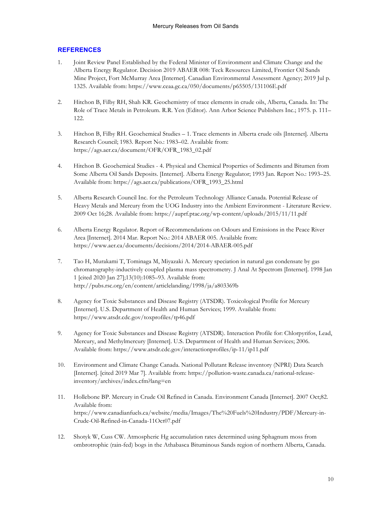## **REFERENCES**

- 1. Joint Review Panel Established by the Federal Minister of Environment and Climate Change and the Alberta Energy Regulator. Decision 2019 ABAER 008: Teck Resources Limited, Frontier Oil Sands Mine Project, Fort McMurray Area [Internet]. Canadian Environmental Assessment Agency; 2019 Jul p. 1325. Available from: https://www.ceaa.gc.ca/050/documents/p65505/131106E.pdf
- 2. Hitchon B, Filby RH, Shah KR. Geochemistry of trace elements in crude oils, Alberta, Canada. In: The Role of Trace Metals in Petroleum. R.R. Yen (Editor). Ann Arbor Science Publishers Inc.; 1975. p. 111– 122.
- 3. Hitchon B, Filby RH. Geochemical Studies 1. Trace elements in Alberta crude oils [Internet]. Alberta Research Council; 1983. Report No.: 1983–02. Available from: https://ags.aer.ca/document/OFR/OFR\_1983\_02.pdf
- 4. Hitchon B. Geochemical Studies 4. Physical and Chemical Properties of Sediments and Bitumen from Some Alberta Oil Sands Deposits. [Internet]. Alberta Energy Regulator; 1993 Jan. Report No.: 1993–25. Available from: https://ags.aer.ca/publications/OFR\_1993\_25.html
- 5. Alberta Research Council Inc. for the Petroleum Technology Alliance Canada. Potential Release of Heavy Metals and Mercury from the UOG Industry into the Ambient Environment - Literature Review. 2009 Oct 16;28. Available from: https://auprf.ptac.org/wp-content/uploads/2015/11/11.pdf
- 6. Alberta Energy Regulator. Report of Recommendations on Odours and Emissions in the Peace River Area [Internet]. 2014 Mar. Report No.: 2014 ABAER 005. Available from: https://www.aer.ca/documents/decisions/2014/2014-ABAER-005.pdf
- 7. Tao H, Murakami T, Tominaga M, Miyazaki A. Mercury speciation in natural gas condensate by gas chromatography-inductively coupled plasma mass spectrometry. J Anal At Spectrom [Internet]. 1998 Jan 1 [cited 2020 Jan 27];13(10):1085–93. Available from: http://pubs.rsc.org/en/content/articlelanding/1998/ja/a803369b
- 8. Agency for Toxic Substances and Disease Registry (ATSDR). Toxicological Profile for Mercury [Internet]. U.S. Department of Health and Human Services; 1999. Available from: https://www.atsdr.cdc.gov/toxprofiles/tp46.pdf
- 9. Agency for Toxic Substances and Disease Registry (ATSDR). Interaction Profile for: Chlorpyrifos, Lead, Mercury, and Methylmercury [Internet]. U.S. Department of Health and Human Services; 2006. Available from: https://www.atsdr.cdc.gov/interactionprofiles/ip-11/ip11.pdf
- 10. Environment and Climate Change Canada. National Pollutant Release inventory (NPRI) Data Search [Internet]. [cited 2019 Mar 7]. Available from: https://pollution-waste.canada.ca/national-releaseinventory/archives/index.cfm?lang=en
- 11. Hollebone BP. Mercury in Crude Oil Refined in Canada. Environment Canada [Internet]. 2007 Oct;82. Available from: https://www.canadianfuels.ca/website/media/Images/The%20Fuels%20Industry/PDF/Mercury-in-Crude-Oil-Refined-in-Canada-11Oct07.pdf
- 12. Shotyk W, Cuss CW. Atmospheric Hg accumulation rates determined using Sphagnum moss from ombrotrophic (rain-fed) bogs in the Athabasca Bituminous Sands region of northern Alberta, Canada.